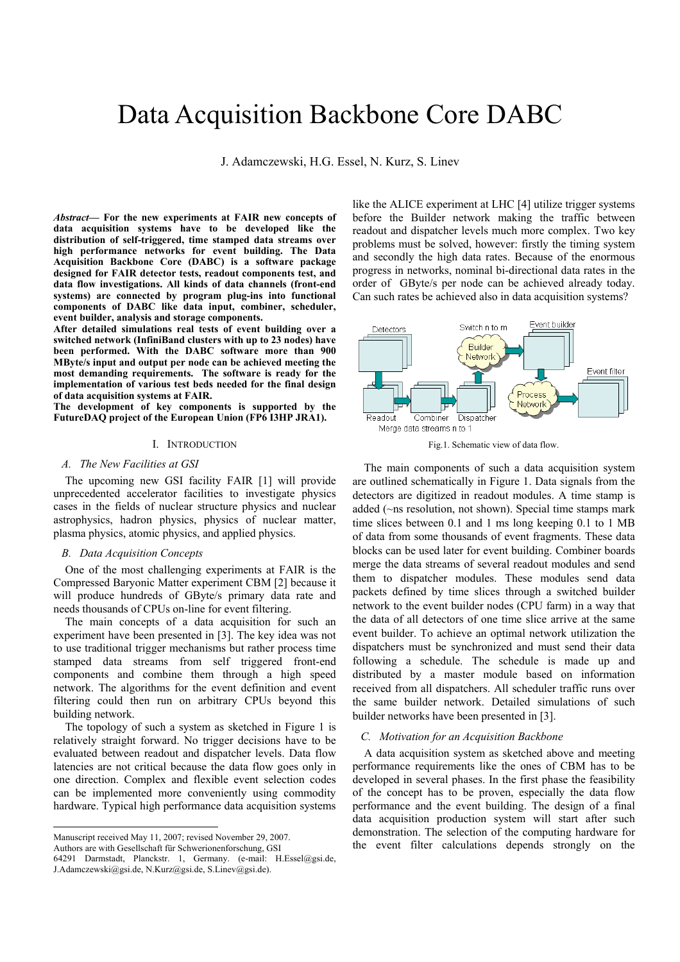# Data Acquisition Backbone Core DABC

J. Adamczewski, H.G. Essel, N. Kurz, S. Linev

*Abstract***— For the new experiments at FAIR new concepts of data acquisition systems have to be developed like the distribution of self-triggered, time stamped data streams over high performance networks for event building. The Data Acquisition Backbone Core (DABC) is a software package designed for FAIR detector tests, readout components test, and data flow investigations. All kinds of data channels (front-end systems) are connected by program plug-ins into functional components of DABC like data input, combiner, scheduler, event builder, analysis and storage components.** 

**After detailed simulations real tests of event building over a switched network (InfiniBand clusters with up to 23 nodes) have been performed. With the DABC software more than 900 MByte/s input and output per node can be achieved meeting the most demanding requirements. The software is ready for the implementation of various test beds needed for the final design of data acquisition systems at FAIR.** 

**The development of key components is supported by the FutureDAQ project of the European Union (FP6 I3HP JRA1).** 

#### I. INTRODUCTION

#### *A. The New Facilities at GSI*

The upcoming new GSI facility FAIR [1] will provide unprecedented accelerator facilities to investigate physics cases in the fields of nuclear structure physics and nuclear astrophysics, hadron physics, physics of nuclear matter, plasma physics, atomic physics, and applied physics.

#### *B. Data Acquisition Concepts*

One of the most challenging experiments at FAIR is the Compressed Baryonic Matter experiment CBM [2] because it will produce hundreds of GByte/s primary data rate and needs thousands of CPUs on-line for event filtering.

The main concepts of a data acquisition for such an experiment have been presented in [3]. The key idea was not to use traditional trigger mechanisms but rather process time stamped data streams from self triggered front-end components and combine them through a high speed network. The algorithms for the event definition and event filtering could then run on arbitrary CPUs beyond this building network.

The topology of such a system as sketched in Figure 1 is relatively straight forward. No trigger decisions have to be evaluated between readout and dispatcher levels. Data flow latencies are not critical because the data flow goes only in one direction. Complex and flexible event selection codes can be implemented more conveniently using commodity hardware. Typical high performance data acquisition systems

l

like the ALICE experiment at LHC [4] utilize trigger systems before the Builder network making the traffic between readout and dispatcher levels much more complex. Two key problems must be solved, however: firstly the timing system and secondly the high data rates. Because of the enormous progress in networks, nominal bi-directional data rates in the order of GByte/s per node can be achieved already today. Can such rates be achieved also in data acquisition systems?



Fig.1. Schematic view of data flow.

The main components of such a data acquisition system are outlined schematically in Figure 1. Data signals from the detectors are digitized in readout modules. A time stamp is added (~ns resolution, not shown). Special time stamps mark time slices between 0.1 and 1 ms long keeping 0.1 to 1 MB of data from some thousands of event fragments. These data blocks can be used later for event building. Combiner boards merge the data streams of several readout modules and send them to dispatcher modules. These modules send data packets defined by time slices through a switched builder network to the event builder nodes (CPU farm) in a way that the data of all detectors of one time slice arrive at the same event builder. To achieve an optimal network utilization the dispatchers must be synchronized and must send their data following a schedule. The schedule is made up and distributed by a master module based on information received from all dispatchers. All scheduler traffic runs over the same builder network. Detailed simulations of such builder networks have been presented in [3].

## *C. Motivation for an Acquisition Backbone*

A data acquisition system as sketched above and meeting performance requirements like the ones of CBM has to be developed in several phases. In the first phase the feasibility of the concept has to be proven, especially the data flow performance and the event building. The design of a final data acquisition production system will start after such demonstration. The selection of the computing hardware for the event filter calculations depends strongly on the

Manuscript received May 11, 2007; revised November 29, 2007. Authors are with Gesellschaft für Schwerionenforschung, GSI

<sup>64291</sup> Darmstadt, Planckstr. 1, Germany. (e-mail: H.Essel@gsi.de, J.Adamczewski@gsi.de, N.Kurz@gsi.de, S.Linev@gsi.de).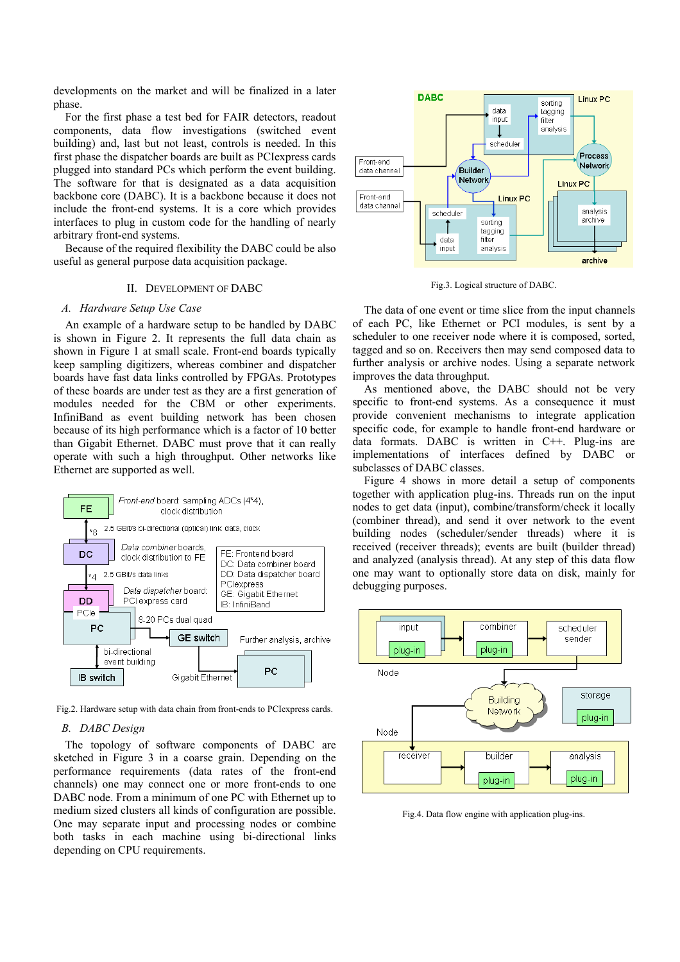developments on the market and will be finalized in a later phase.

For the first phase a test bed for FAIR detectors, readout components, data flow investigations (switched event building) and, last but not least, controls is needed. In this first phase the dispatcher boards are built as PCIexpress cards plugged into standard PCs which perform the event building. The software for that is designated as a data acquisition backbone core (DABC). It is a backbone because it does not include the front-end systems. It is a core which provides interfaces to plug in custom code for the handling of nearly arbitrary front-end systems.

Because of the required flexibility the DABC could be also useful as general purpose data acquisition package.

#### II. DEVELOPMENT OF DABC

## *A. Hardware Setup Use Case*

An example of a hardware setup to be handled by DABC is shown in Figure 2. It represents the full data chain as shown in Figure 1 at small scale. Front-end boards typically keep sampling digitizers, whereas combiner and dispatcher boards have fast data links controlled by FPGAs. Prototypes of these boards are under test as they are a first generation of modules needed for the CBM or other experiments. InfiniBand as event building network has been chosen because of its high performance which is a factor of 10 better than Gigabit Ethernet. DABC must prove that it can really operate with such a high throughput. Other networks like Ethernet are supported as well.



Fig.2. Hardware setup with data chain from front-ends to PCIexpress cards.

## *B. DABC Design*

The topology of software components of DABC are sketched in Figure 3 in a coarse grain. Depending on the performance requirements (data rates of the front-end channels) one may connect one or more front-ends to one DABC node. From a minimum of one PC with Ethernet up to medium sized clusters all kinds of configuration are possible. One may separate input and processing nodes or combine both tasks in each machine using bi-directional links depending on CPU requirements.



Fig.3. Logical structure of DABC.

The data of one event or time slice from the input channels of each PC, like Ethernet or PCI modules, is sent by a scheduler to one receiver node where it is composed, sorted, tagged and so on. Receivers then may send composed data to further analysis or archive nodes. Using a separate network improves the data throughput.

As mentioned above, the DABC should not be very specific to front-end systems. As a consequence it must provide convenient mechanisms to integrate application specific code, for example to handle front-end hardware or data formats. DABC is written in C++. Plug-ins are implementations of interfaces defined by DABC or subclasses of DABC classes.

Figure 4 shows in more detail a setup of components together with application plug-ins. Threads run on the input nodes to get data (input), combine/transform/check it locally (combiner thread), and send it over network to the event building nodes (scheduler/sender threads) where it is received (receiver threads); events are built (builder thread) and analyzed (analysis thread). At any step of this data flow one may want to optionally store data on disk, mainly for debugging purposes.



Fig.4. Data flow engine with application plug-ins.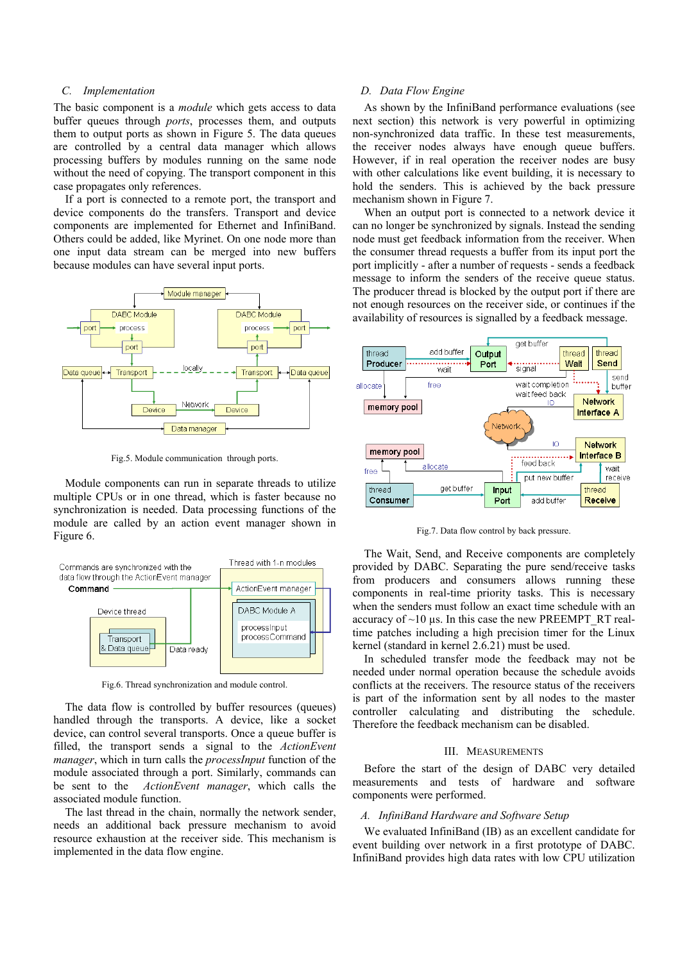# *C. Implementation*

The basic component is a *module* which gets access to data buffer queues through *ports*, processes them, and outputs them to output ports as shown in Figure 5. The data queues are controlled by a central data manager which allows processing buffers by modules running on the same node without the need of copying. The transport component in this case propagates only references.

If a port is connected to a remote port, the transport and device components do the transfers. Transport and device components are implemented for Ethernet and InfiniBand. Others could be added, like Myrinet. On one node more than one input data stream can be merged into new buffers because modules can have several input ports.



Fig.5. Module communication through ports.

Module components can run in separate threads to utilize multiple CPUs or in one thread, which is faster because no synchronization is needed. Data processing functions of the module are called by an action event manager shown in Figure 6.



Fig.6. Thread synchronization and module control.

The data flow is controlled by buffer resources (queues) handled through the transports. A device, like a socket device, can control several transports. Once a queue buffer is filled, the transport sends a signal to the *ActionEvent manager*, which in turn calls the *processInput* function of the module associated through a port. Similarly, commands can be sent to the *ActionEvent manager*, which calls the associated module function.

The last thread in the chain, normally the network sender, needs an additional back pressure mechanism to avoid resource exhaustion at the receiver side. This mechanism is implemented in the data flow engine.

#### *D. Data Flow Engine*

As shown by the InfiniBand performance evaluations (see next section) this network is very powerful in optimizing non-synchronized data traffic. In these test measurements, the receiver nodes always have enough queue buffers. However, if in real operation the receiver nodes are busy with other calculations like event building, it is necessary to hold the senders. This is achieved by the back pressure mechanism shown in Figure 7.

When an output port is connected to a network device it can no longer be synchronized by signals. Instead the sending node must get feedback information from the receiver. When the consumer thread requests a buffer from its input port the port implicitly - after a number of requests - sends a feedback message to inform the senders of the receive queue status. The producer thread is blocked by the output port if there are not enough resources on the receiver side, or continues if the availability of resources is signalled by a feedback message.



Fig.7. Data flow control by back pressure.

The Wait, Send, and Receive components are completely provided by DABC. Separating the pure send/receive tasks from producers and consumers allows running these components in real-time priority tasks. This is necessary when the senders must follow an exact time schedule with an accuracy of  $\sim$ 10 us. In this case the new PREEMPT\_RT realtime patches including a high precision timer for the Linux kernel (standard in kernel 2.6.21) must be used.

In scheduled transfer mode the feedback may not be needed under normal operation because the schedule avoids conflicts at the receivers. The resource status of the receivers is part of the information sent by all nodes to the master controller calculating and distributing the schedule. Therefore the feedback mechanism can be disabled.

#### III. MEASUREMENTS

Before the start of the design of DABC very detailed measurements and tests of hardware and software components were performed.

## *A. InfiniBand Hardware and Software Setup*

We evaluated InfiniBand (IB) as an excellent candidate for event building over network in a first prototype of DABC. InfiniBand provides high data rates with low CPU utilization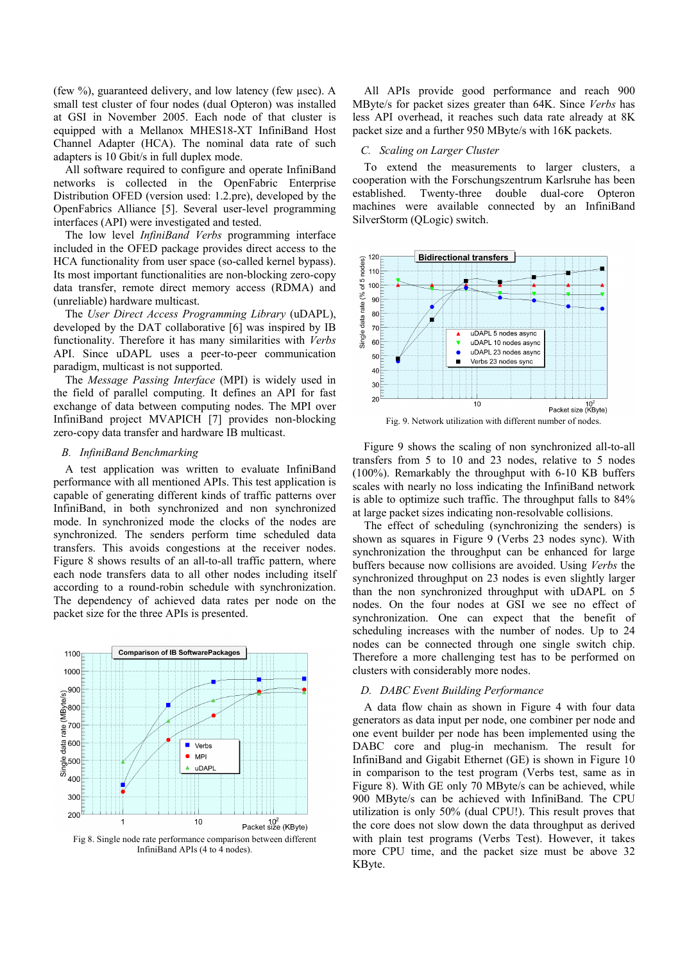(few %), guaranteed delivery, and low latency (few µsec). A small test cluster of four nodes (dual Opteron) was installed at GSI in November 2005. Each node of that cluster is equipped with a Mellanox MHES18-XT InfiniBand Host Channel Adapter (HCA). The nominal data rate of such adapters is 10 Gbit/s in full duplex mode.

All software required to configure and operate InfiniBand networks is collected in the OpenFabric Enterprise Distribution OFED (version used: 1.2.pre), developed by the OpenFabrics Alliance [5]. Several user-level programming interfaces (API) were investigated and tested.

The low level *InfiniBand Verbs* programming interface included in the OFED package provides direct access to the HCA functionality from user space (so-called kernel bypass). Its most important functionalities are non-blocking zero-copy data transfer, remote direct memory access (RDMA) and (unreliable) hardware multicast.

The *User Direct Access Programming Library* (uDAPL), developed by the DAT collaborative [6] was inspired by IB functionality. Therefore it has many similarities with *Verbs* API. Since uDAPL uses a peer-to-peer communication paradigm, multicast is not supported.

The *Message Passing Interface* (MPI) is widely used in the field of parallel computing. It defines an API for fast exchange of data between computing nodes. The MPI over InfiniBand project MVAPICH [7] provides non-blocking zero-copy data transfer and hardware IB multicast.

## *B. InfiniBand Benchmarking*

A test application was written to evaluate InfiniBand performance with all mentioned APIs. This test application is capable of generating different kinds of traffic patterns over InfiniBand, in both synchronized and non synchronized mode. In synchronized mode the clocks of the nodes are synchronized. The senders perform time scheduled data transfers. This avoids congestions at the receiver nodes. Figure 8 shows results of an all-to-all traffic pattern, where each node transfers data to all other nodes including itself according to a round-robin schedule with synchronization. The dependency of achieved data rates per node on the packet size for the three APIs is presented.



InfiniBand APIs (4 to 4 nodes).

All APIs provide good performance and reach 900 MByte/s for packet sizes greater than 64K. Since *Verbs* has less API overhead, it reaches such data rate already at 8K packet size and a further 950 MByte/s with 16K packets.

#### *C. Scaling on Larger Cluster*

To extend the measurements to larger clusters, a cooperation with the Forschungszentrum Karlsruhe has been established. Twenty-three double dual-core Opteron machines were available connected by an InfiniBand SilverStorm (QLogic) switch.



Fig. 9. Network utilization with different number of nodes.

Figure 9 shows the scaling of non synchronized all-to-all transfers from 5 to 10 and 23 nodes, relative to 5 nodes (100%). Remarkably the throughput with 6-10 KB buffers scales with nearly no loss indicating the InfiniBand network is able to optimize such traffic. The throughput falls to 84% at large packet sizes indicating non-resolvable collisions.

The effect of scheduling (synchronizing the senders) is shown as squares in Figure 9 (Verbs 23 nodes sync). With synchronization the throughput can be enhanced for large buffers because now collisions are avoided. Using *Verbs* the synchronized throughput on 23 nodes is even slightly larger than the non synchronized throughput with uDAPL on 5 nodes. On the four nodes at GSI we see no effect of synchronization. One can expect that the benefit of scheduling increases with the number of nodes. Up to 24 nodes can be connected through one single switch chip. Therefore a more challenging test has to be performed on clusters with considerably more nodes.

#### *D. DABC Event Building Performance*

A data flow chain as shown in Figure 4 with four data generators as data input per node, one combiner per node and one event builder per node has been implemented using the DABC core and plug-in mechanism. The result for InfiniBand and Gigabit Ethernet (GE) is shown in Figure 10 in comparison to the test program (Verbs test, same as in Figure 8). With GE only 70 MByte/s can be achieved, while 900 MByte/s can be achieved with InfiniBand. The CPU utilization is only 50% (dual CPU!). This result proves that the core does not slow down the data throughput as derived with plain test programs (Verbs Test). However, it takes more CPU time, and the packet size must be above 32 KByte.